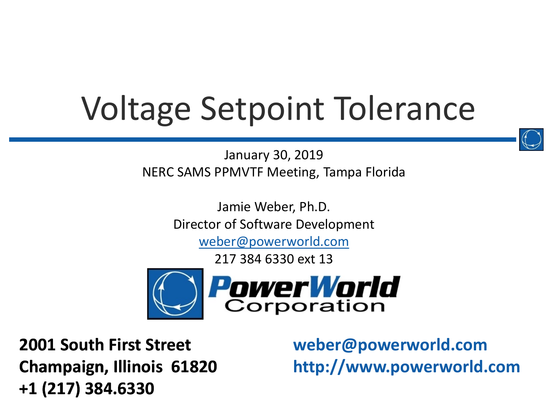# Voltage Setpoint Tolerance

January 30, 2019 NERC SAMS PPMVTF Meeting, Tampa Florida

> Jamie Weber, Ph.D. Director of Software Development

> > [weber@powerworld.com](mailto:weber@powerworld.com)

217 384 6330 ext 13



**2001 South First Street Champaign, Illinois 61820 +1 (217) 384.6330**

**weber@powerworld.com http://www.powerworld.com**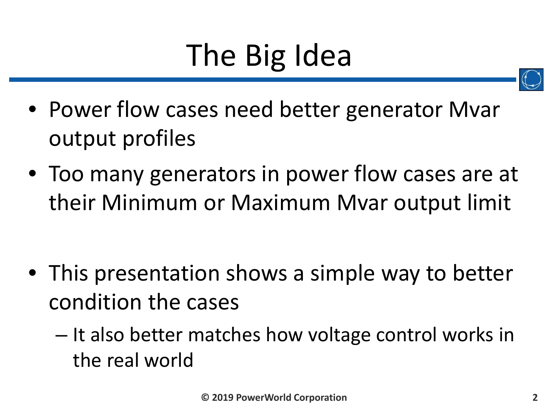# The Big Idea



- Power flow cases need better generator Mvar output profiles
- Too many generators in power flow cases are at their Minimum or Maximum Mvar output limit

- This presentation shows a simple way to better condition the cases
	- It also better matches how voltage control works in the real world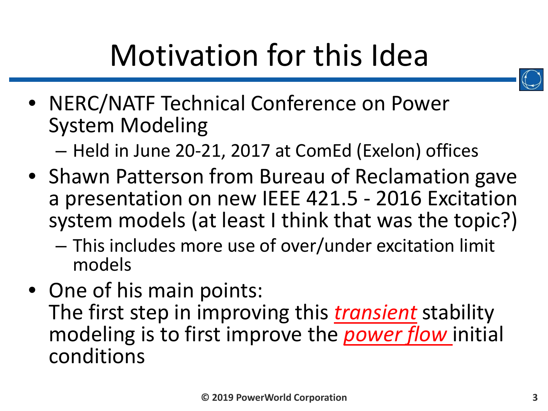

• NERC/NATF Technical Conference on Power System Modeling

– Held in June 20-21, 2017 at ComEd (Exelon) offices

- Shawn Patterson from Bureau of Reclamation gave a presentation on new IEEE 421.5 - 2016 Excitation system models (at least I think that was the topic?)
	- This includes more use of over/under excitation limit models
- One of his main points: The first step in improving this *transient* stability modeling is to first improve the *power flow* initial conditions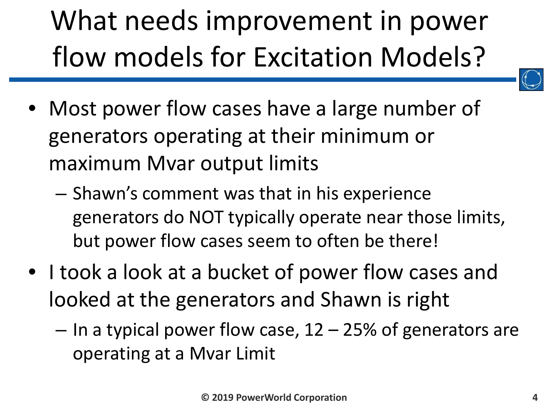# What needs improvement in power flow models for Excitation Models?

- 
- Most power flow cases have a large number of generators operating at their minimum or maximum Mvar output limits
	- Shawn's comment was that in his experience generators do NOT typically operate near those limits, but power flow cases seem to often be there!
- I took a look at a bucket of power flow cases and looked at the generators and Shawn is right
	- $-$  In a typical power flow case, 12 25% of generators are operating at a Mvar Limit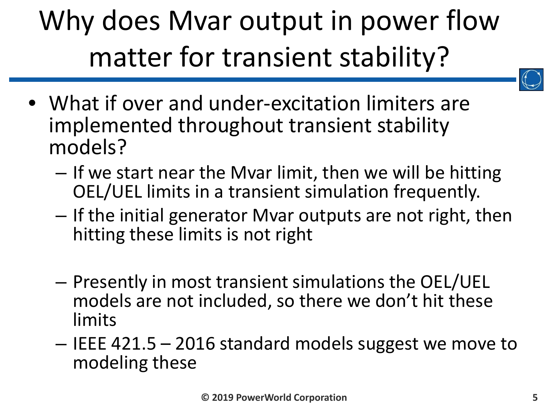## Why does Mvar output in power flow matter for transient stability?



- What if over and under-excitation limiters are implemented throughout transient stability models?
	- If we start near the Mvar limit, then we will be hitting OEL/UEL limits in a transient simulation frequently.
	- If the initial generator Mvar outputs are not right, then hitting these limits is not right
	- Presently in most transient simulations the OEL/UEL models are not included, so there we don't hit these limits
	- IEEE 421.5 2016 standard models suggest we move to modeling these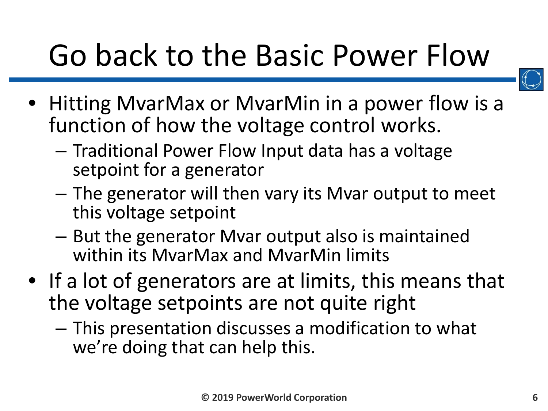# Go back to the Basic Power Flow



- Hitting MvarMax or MvarMin in a power flow is a function of how the voltage control works.
	- Traditional Power Flow Input data has a voltage setpoint for a generator
	- The generator will then vary its Mvar output to meet this voltage setpoint
	- But the generator Mvar output also is maintained within its MvarMax and MvarMin limits
- If a lot of generators are at limits, this means that the voltage setpoints are not quite right
	- This presentation discusses a modification to what we're doing that can help this.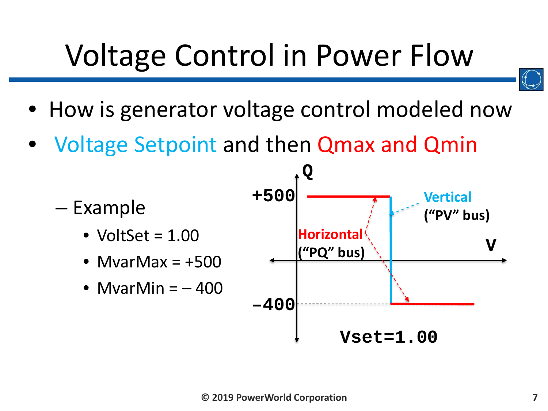# Voltage Control in Power Flow

- 
- How is generator voltage control modeled now
- Voltage Setpoint and then Qmax and Qmin

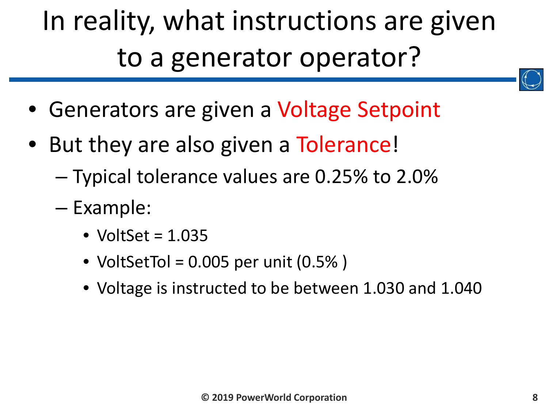### In reality, what instructions are given to a generator operator?

- Generators are given a Voltage Setpoint
- But they are also given a Tolerance!
	- Typical tolerance values are 0.25% to 2.0%
	- Example:
		- VoltSet =  $1.035$
		- VoltSetTol =  $0.005$  per unit  $(0.5\%)$
		- Voltage is instructed to be between 1.030 and 1.040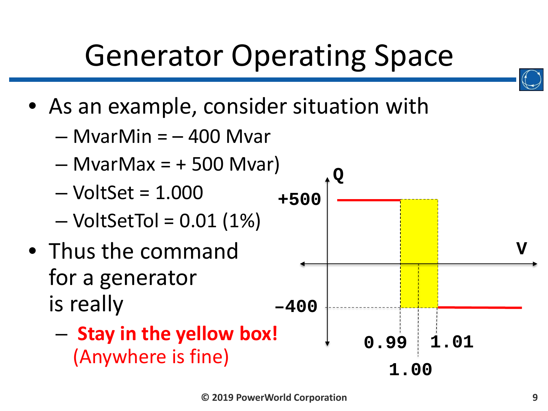# Generator Operating Space

- As an example, consider situation with
	- $-$  MvarMin =  $-$  400 Mvar
	- $-$  MvarMax =  $+$  500 Mvar)
	- $-$  VoltSet = 1.000
	- $-$  VoltSetTol = 0.01 (1%)
- Thus the command for a generator is really
	- **Stay in the yellow box!** (Anywhere is fine)

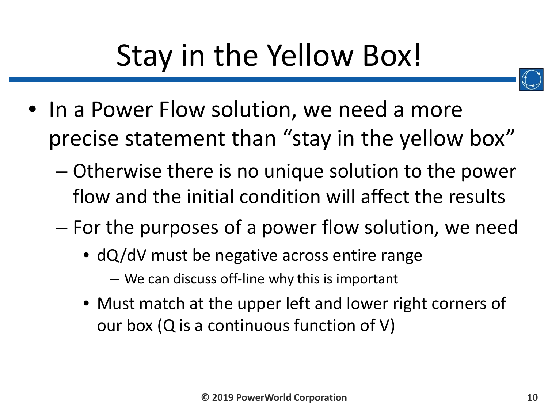# Stay in the Yellow Box!



- In a Power Flow solution, we need a more precise statement than "stay in the yellow box"
	- Otherwise there is no unique solution to the power flow and the initial condition will affect the results
	- For the purposes of a power flow solution, we need
		- dQ/dV must be negative across entire range – We can discuss off-line why this is important
		- Must match at the upper left and lower right corners of our box (Q is a continuous function of V)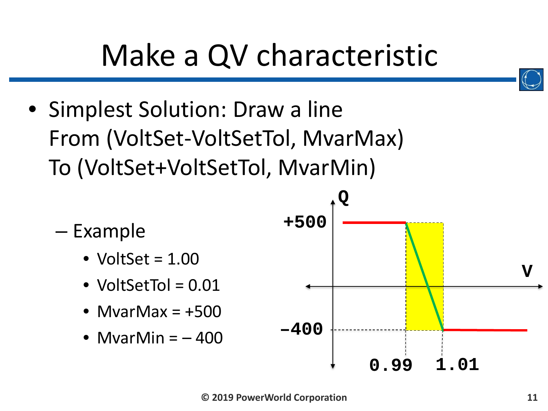# Make a QV characteristic

• Simplest Solution: Draw a line From (VoltSet-VoltSetTol, MvarMax) To (VoltSet+VoltSetTol, MvarMin)

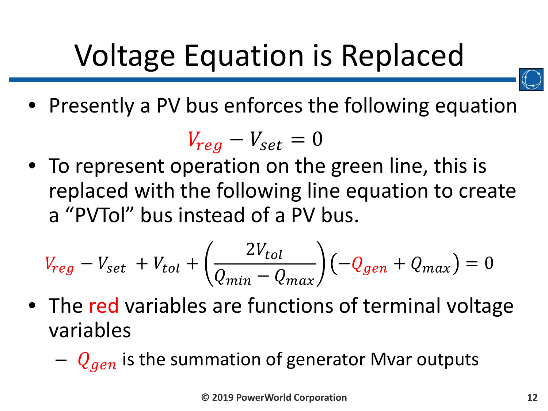# Voltage Equation is Replaced



• Presently a PV bus enforces the following equation

$$
V_{reg} - V_{set} = 0
$$

• To represent operation on the green line, this is replaced with the following line equation to create a "PVTol" bus instead of a PV bus.

$$
V_{reg} - V_{set} + V_{tol} + \left(\frac{2V_{tol}}{Q_{min} - Q_{max}}\right)\left(-Q_{gen} + Q_{max}\right) = 0
$$

- The red variables are functions of terminal voltage variables
	- $-Q_{gen}$  is the summation of generator Mvar outputs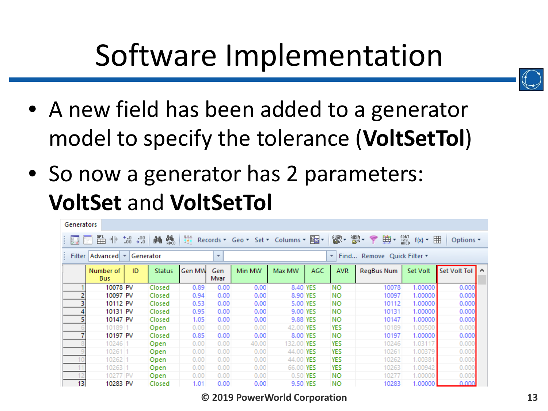# Software Implementation



- A new field has been added to a generator model to specify the tolerance (**VoltSetTol**)
- So now a generator has 2 parameters: **VoltSet** and **VoltSetTol**

| Generators                                                                                                                                                               |                         |    |               |        |             |        |            |          |            |            |          |              |  |
|--------------------------------------------------------------------------------------------------------------------------------------------------------------------------|-------------------------|----|---------------|--------|-------------|--------|------------|----------|------------|------------|----------|--------------|--|
| 빪. - 빯.<br>典・<br>監<br>鶻<br>SORT<br>124<br>ABED<br>ҿ<br>⊣∤⊱<br>$^{*0}_{00}$ + .0<br>菛<br>拼<br>Records * Geo * Set * Columns * Est *<br>$f(x)$ $\cdot$ $\Box$<br>Options * |                         |    |               |        |             |        |            |          |            |            |          |              |  |
| Filter<br>Advanced   $\tau$<br>Generator<br>Find Remove Quick Filter *<br>$\overline{\phantom{a}}$<br>÷                                                                  |                         |    |               |        |             |        |            |          |            |            |          |              |  |
|                                                                                                                                                                          | Number of<br><b>Bus</b> | ID | <b>Status</b> | Gen MW | Gen<br>Mvar | Min MW | Max MW     | AGC      | <b>AVR</b> | RegBus Num | Set Volt | Set Volt Tol |  |
|                                                                                                                                                                          | 10078 PV                |    | Closed        | 0.89   | 0.00        | 0.00   | 8.40 YES   |          | NO.        | 10078      | 1,00000  | 0.000        |  |
|                                                                                                                                                                          | 10097 PV                |    | Closed        | 0.94   | 0.00        | 0.00   |            | 8.90 YES | NO.        | 10097      | 1,00000  | 0.000        |  |
|                                                                                                                                                                          | 10112 PV                |    | Closed        | 0.53   | 0.00        | 0.00   |            | 5.00 YES | <b>NO</b>  | 10112      | 1,00000  | 0.000        |  |
|                                                                                                                                                                          | 10131 PV                |    | Closed        | 0.95   | 0.00        | 0.00   | 9.00 YES   |          | <b>NO</b>  | 10131      | 1.00000  | 0.000        |  |
|                                                                                                                                                                          | 10147 PV                |    | Closed        | 1.05   | 0.00        | 0.00   | 9.88 YES   |          | <b>NO</b>  | 10147      | 1.00000  | 0.000        |  |
|                                                                                                                                                                          | 10189 1                 |    | Open          | 0.00   | 0.00        | 0.00   | 42.00 YES  |          | YES        | 10189      | 1.00500  | 0.000        |  |
|                                                                                                                                                                          | 10197 PV                |    | Closed        | 0.85   | 0.00        | 0.00   | 8.00 YES   |          | <b>NO</b>  | 10197      | 1.00000  | 0.000        |  |
|                                                                                                                                                                          | $10246$ 1               |    | Open          | 0.00   | 0.00        | 40.00  | 132.00 YES |          | YES        | 10246      | 1.03117  | 0.000        |  |
|                                                                                                                                                                          | 102611                  |    | Open          | 0.00   | 0.00        | 0.00   | 44.00 YES  |          | YES        | 10261      | 1.00379  | 0.000        |  |
|                                                                                                                                                                          | 10262 1                 |    | Open          | 0.00   | 0.00        | 0.00   | 44.00 YES  |          | YES        | 10262      | 1.00381  | 0.000        |  |
|                                                                                                                                                                          | 10263 1                 |    | Open          | 0.00   | 0.00        | 0.00   | 66.00 YES  |          | YES        | 10263      | 1.00942  | 0.000        |  |
|                                                                                                                                                                          | 10277 PV                |    | Open          | 0.00   | 0.00        | 0.00   | 0.50 YES   |          | NO.        | 10277      | 1.00000  | 0.000        |  |
| 13                                                                                                                                                                       | 10283 PV                |    | Closed        | 1.01   | 0.00        | 0.00   |            | 9.50 YES | <b>NO</b>  | 10283      | 1.00000  | 0.000        |  |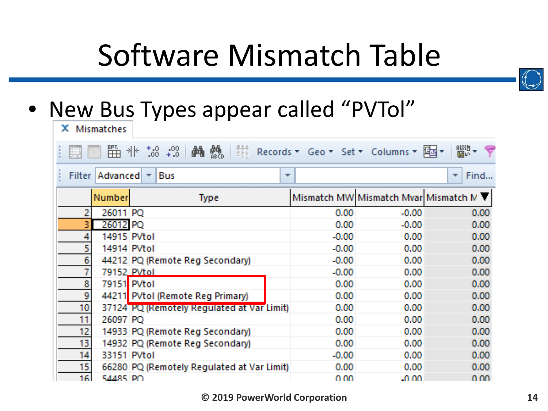# Software Mismatch Table



#### • New Bus Types appear called "PVTol"

| <b>Mismatches</b>                                                                                                                 |             |                                            |         |                                        |            |  |  |
|-----------------------------------------------------------------------------------------------------------------------------------|-------------|--------------------------------------------|---------|----------------------------------------|------------|--|--|
| 驫<br><b>Records + Geo + Set + Columns +</b><br>2002 <del>-</del><br>2002 -<br>醫 非<br>$0.4, 0.0$<br>0. $+0.0$<br>确<br>Y<br>圈子<br>圓 |             |                                            |         |                                        |            |  |  |
| <b>Filter</b>                                                                                                                     |             | Advanced $\top$ Bus<br>757                 |         |                                        | Find<br>57 |  |  |
|                                                                                                                                   | Number      | <b>Type</b>                                |         | Mismatch MW Mismatch Mvar Mismatch M V |            |  |  |
| 2                                                                                                                                 | 26011 PQ    |                                            | 0,00    | $-0.00$                                | 0.00       |  |  |
|                                                                                                                                   | 26012 PQ    |                                            | 0.00    | $-0.00$                                | 0.00       |  |  |
| 4                                                                                                                                 | 14915 PVtol |                                            | $-0.00$ | 0.00                                   | 0.00       |  |  |
| 5                                                                                                                                 | 14914 PVtol |                                            | $-0.00$ | 0.00                                   | 0.00       |  |  |
| 6                                                                                                                                 |             | 44212 PQ (Remote Reg Secondary)            | $-0.00$ | 0.00                                   | 0.00       |  |  |
|                                                                                                                                   | 79152 PVtoL |                                            | $-0.00$ | 0.00                                   | 0.00       |  |  |
| 8                                                                                                                                 | 79151 PVtol |                                            | 0.00    | 0.00                                   | 0.00       |  |  |
| 9                                                                                                                                 |             | 44211 PVtol (Remote Reg Primary)           | 0.00    | 0.00                                   | 0.00       |  |  |
| 10                                                                                                                                |             | 37124 PQ (Remotely Regulated at Var Limit) | 0.00    | 0.00                                   | 0.00       |  |  |
| 11                                                                                                                                | 26097 PO    |                                            | 0.00    | 0.00                                   | 0.00       |  |  |
| 12                                                                                                                                |             | 14933 PQ (Remote Reg Secondary)            | 0.00    | 0.00                                   | 0.00       |  |  |
| 13                                                                                                                                |             | 14932 PQ (Remote Reg Secondary)            | 0.00    | 0.00                                   | 0.00       |  |  |
| 14                                                                                                                                | 33151 PVtol |                                            | $-0.00$ | 0.00                                   | 0.00       |  |  |
| 15                                                                                                                                |             | 66280 PQ (Remotely Regulated at Var Limit) | 0.00    | 0.00                                   | 0.00       |  |  |
| 161                                                                                                                               | 54485 PO    |                                            | 70. OO  | LO OO                                  | n m        |  |  |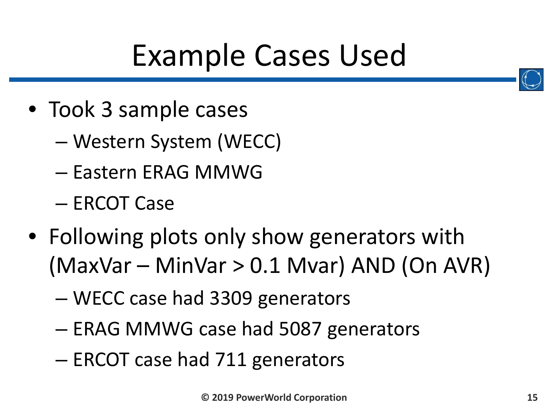# Example Cases Used

- Took 3 sample cases
	- Western System (WECC)
	- Eastern ERAG MMWG
	- ERCOT Case
- Following plots only show generators with (MaxVar – MinVar > 0.1 Mvar) AND (On AVR)
	- WECC case had 3309 generators
	- ERAG MMWG case had 5087 generators
	- ERCOT case had 711 generators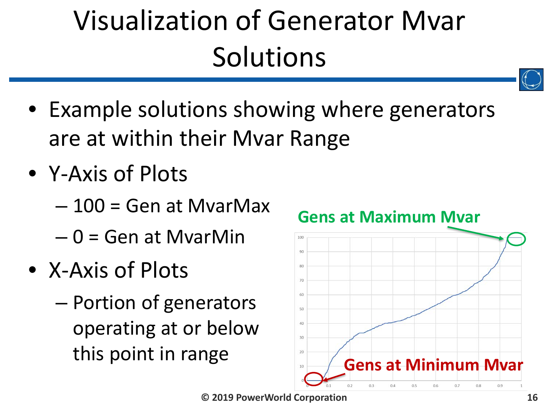## Visualization of Generator Mvar **Solutions**

- 
- Example solutions showing where generators are at within their Mvar Range
- Y-Axis of Plots
	- 100 = Gen at MvarMax
	- $-0$  = Gen at MvarMin
- X-Axis of Plots
	- Portion of generators operating at or below this point in range



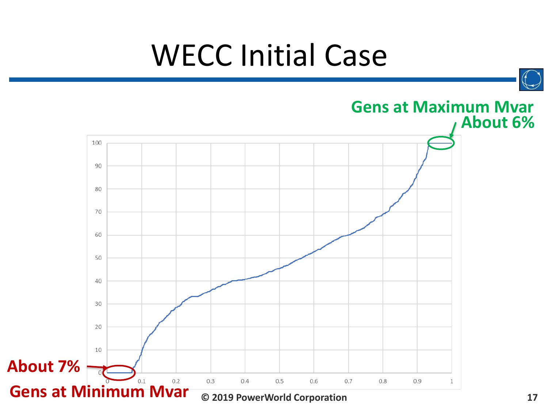### WECC Initial Case

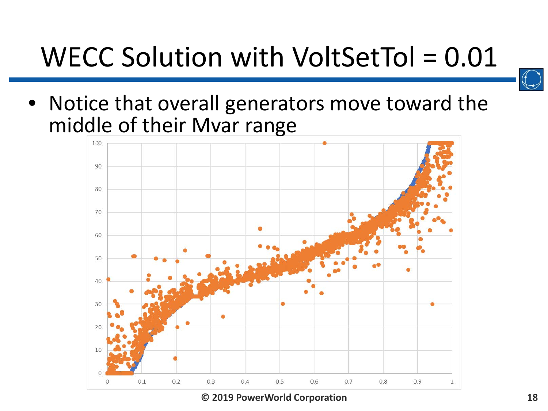#### WECC Solution with VoltSetTol = 0.01



• Notice that overall generators move toward the middle of their Mvar range

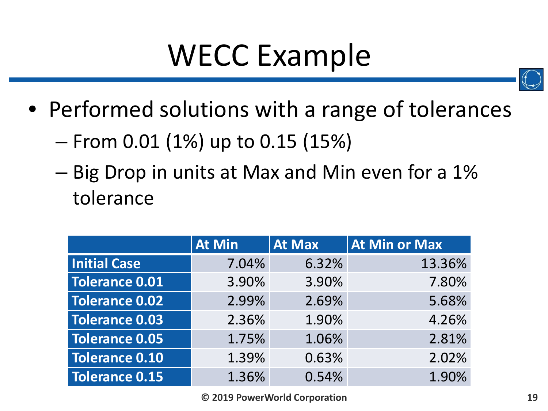### WECC Example



- Performed solutions with a range of tolerances
	- From 0.01 (1%) up to 0.15 (15%)
	- Big Drop in units at Max and Min even for a 1% tolerance

|                       | <b>At Min</b> | <b>At Max</b> | At Min or Max |
|-----------------------|---------------|---------------|---------------|
| <b>Initial Case</b>   | 7.04%         | 6.32%         | 13.36%        |
| <b>Tolerance 0.01</b> | 3.90%         | 3.90%         | 7.80%         |
| <b>Tolerance 0.02</b> | 2.99%         | 2.69%         | 5.68%         |
| <b>Tolerance 0.03</b> | 2.36%         | 1.90%         | 4.26%         |
| <b>Tolerance 0.05</b> | 1.75%         | 1.06%         | 2.81%         |
| <b>Tolerance 0.10</b> | 1.39%         | 0.63%         | 2.02%         |
| <b>Tolerance 0.15</b> | 1.36%         | 0.54%         | 1.90%         |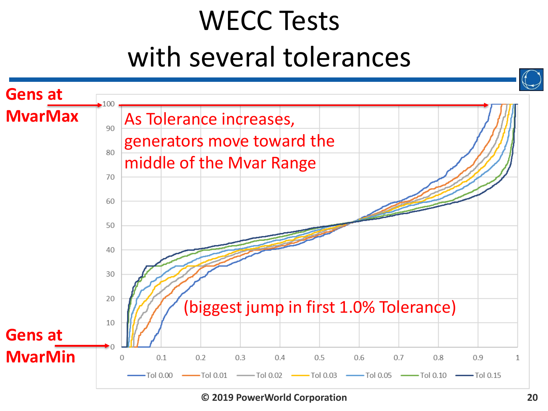#### WECC Tests with several tolerances

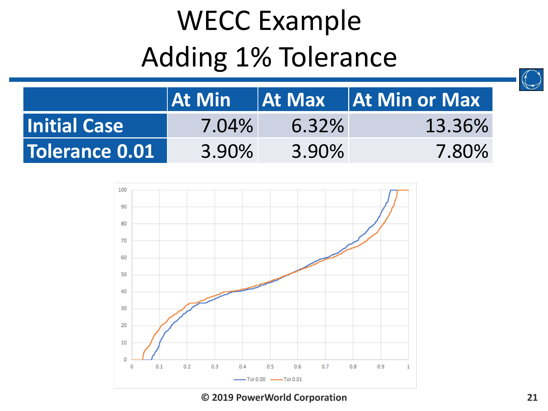#### WECC Example Adding 1% Tolerance



|                     | <b>At Min</b> | $\overline{a}$ At Max | $\vert$ $\vert$ At Min or Max $\vert$ |
|---------------------|---------------|-----------------------|---------------------------------------|
| <b>Initial Case</b> | 7.04%         | 6.32%                 | 13.36%                                |
| Tolerance 0.01      | 3.90%         | 3.90%                 | 7.80%                                 |

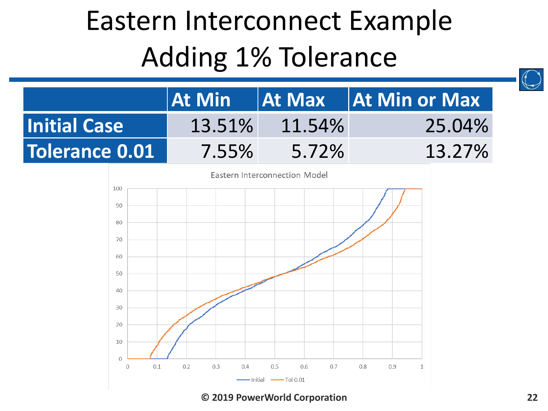#### Eastern Interconnect Example Adding 1% Tolerance

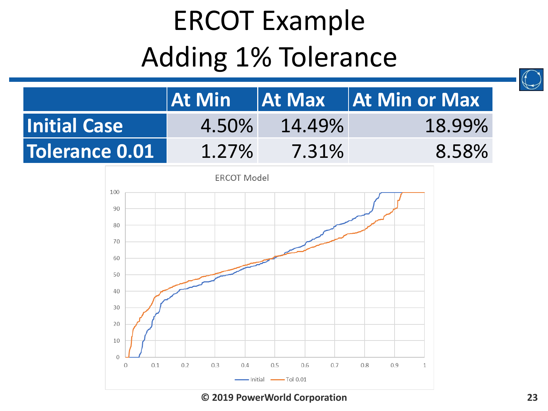#### ERCOT Example Adding 1% Tolerance



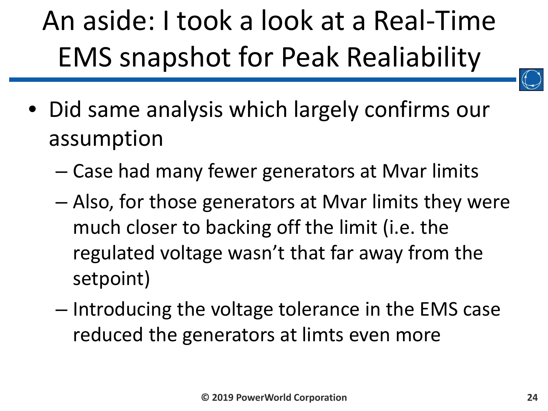# An aside: I took a look at a Real-Time EMS snapshot for Peak Realiability



- Did same analysis which largely confirms our assumption
	- Case had many fewer generators at Mvar limits
	- Also, for those generators at Mvar limits they were much closer to backing off the limit (i.e. the regulated voltage wasn't that far away from the setpoint)
	- Introducing the voltage tolerance in the EMS case reduced the generators at limts even more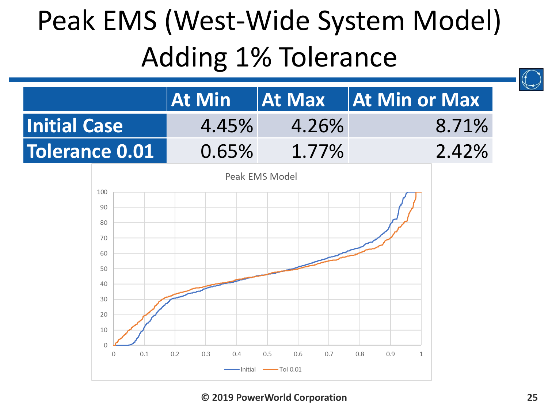#### Peak EMS (West-Wide System Model) Adding 1% Tolerance